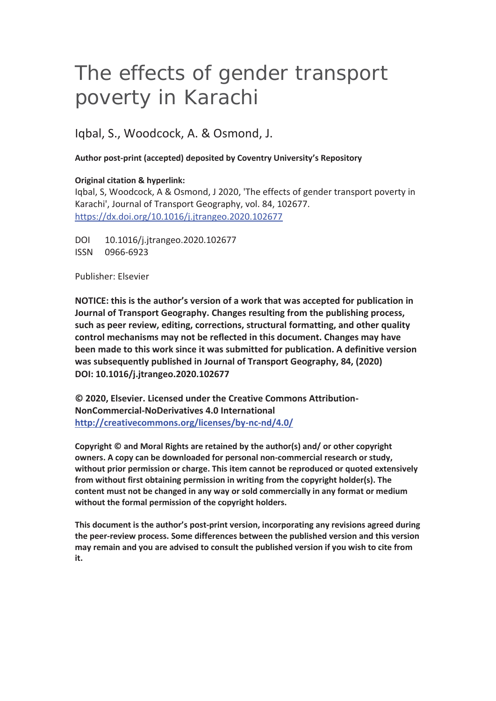# The effects of gender transport poverty in Karachi

Iqbal, S., Woodcock, A. & Osmond, J.

**Author post-print (accepted) deposited by Coventry University's Repository** 

# **Original citation & hyperlink:**

Iqbal, S, Woodcock, A & Osmond, J 2020, 'The effects of gender transport poverty in Karachi', Journal of Transport Geography, vol. 84, 102677. https://dx.doi.org/10.1016/j.jtrangeo.2020.102677

DOI 10.1016/j.jtrangeo.2020.102677 ISSN 0966-6923

Publisher: Elsevier

**NOTICE: this is the author's version of a work that was accepted for publication in Journal of Transport Geography. Changes resulting from the publishing process, such as peer review, editing, corrections, structural formatting, and other quality control mechanisms may not be reflected in this document. Changes may have been made to this work since it was submitted for publication. A definitive version was subsequently published in Journal of Transport Geography, 84, (2020) DOI: 10.1016/j.jtrangeo.2020.102677** 

**© 2020, Elsevier. Licensed under the Creative Commons Attribution-NonCommercial-NoDerivatives 4.0 International http://creativecommons.org/licenses/by-nc-nd/4.0/**

**Copyright © and Moral Rights are retained by the author(s) and/ or other copyright owners. A copy can be downloaded for personal non-commercial research or study, without prior permission or charge. This item cannot be reproduced or quoted extensively from without first obtaining permission in writing from the copyright holder(s). The content must not be changed in any way or sold commercially in any format or medium without the formal permission of the copyright holders.** 

**This document is the author's post-print version, incorporating any revisions agreed during the peer-review process. Some differences between the published version and this version may remain and you are advised to consult the published version if you wish to cite from it.**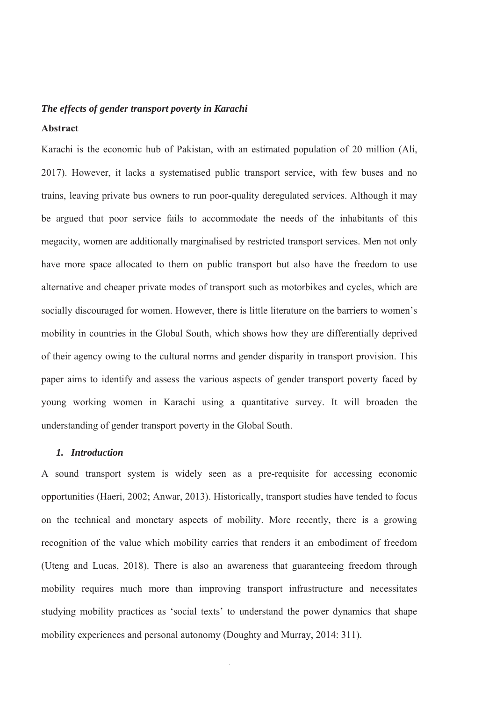# *The effects of gender transport poverty in Karachi*

# **Abstract**

Karachi is the economic hub of Pakistan, with an estimated population of 20 million (Ali, 2017). However, it lacks a systematised public transport service, with few buses and no trains, leaving private bus owners to run poor-quality deregulated services. Although it may be argued that poor service fails to accommodate the needs of the inhabitants of this megacity, women are additionally marginalised by restricted transport services. Men not only have more space allocated to them on public transport but also have the freedom to use alternative and cheaper private modes of transport such as motorbikes and cycles, which are socially discouraged for women. However, there is little literature on the barriers to women's mobility in countries in the Global South, which shows how they are differentially deprived of their agency owing to the cultural norms and gender disparity in transport provision. This paper aims to identify and assess the various aspects of gender transport poverty faced by young working women in Karachi using a quantitative survey. It will broaden the understanding of gender transport poverty in the Global South.

# *1. Introduction*

A sound transport system is widely seen as a pre-requisite for accessing economic opportunities (Haeri, 2002; Anwar, 2013). Historically, transport studies have tended to focus on the technical and monetary aspects of mobility. More recently, there is a growing recognition of the value which mobility carries that renders it an embodiment of freedom (Uteng and Lucas, 2018). There is also an awareness that guaranteeing freedom through mobility requires much more than improving transport infrastructure and necessitates studying mobility practices as 'social texts' to understand the power dynamics that shape mobility experiences and personal autonomy (Doughty and Murray, 2014: 311).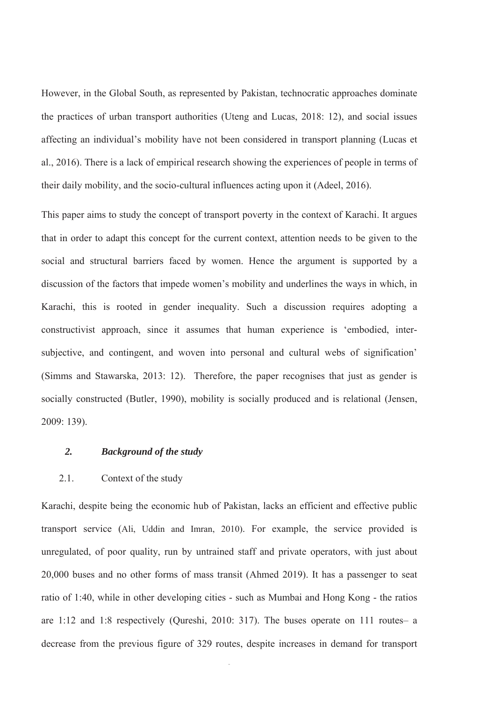However, in the Global South, as represented by Pakistan, technocratic approaches dominate the practices of urban transport authorities (Uteng and Lucas, 2018: 12), and social issues affecting an individual's mobility have not been considered in transport planning (Lucas et al., 2016). There is a lack of empirical research showing the experiences of people in terms of their daily mobility, and the socio-cultural influences acting upon it (Adeel, 2016).

This paper aims to study the concept of transport poverty in the context of Karachi. It argues that in order to adapt this concept for the current context, attention needs to be given to the social and structural barriers faced by women. Hence the argument is supported by a discussion of the factors that impede women's mobility and underlines the ways in which, in Karachi, this is rooted in gender inequality. Such a discussion requires adopting a constructivist approach, since it assumes that human experience is 'embodied, intersubjective, and contingent, and woven into personal and cultural webs of signification' (Simms and Stawarska, 2013: 12). Therefore, the paper recognises that just as gender is socially constructed (Butler, 1990), mobility is socially produced and is relational (Jensen, 2009: 139).

# *2. Background of the study*

# 2.1. Context of the study

Karachi, despite being the economic hub of Pakistan, lacks an efficient and effective public transport service (Ali, Uddin and Imran, 2010). For example, the service provided is unregulated, of poor quality, run by untrained staff and private operators, with just about 20,000 buses and no other forms of mass transit (Ahmed 2019). It has a passenger to seat ratio of 1:40, while in other developing cities - such as Mumbai and Hong Kong - the ratios are 1:12 and 1:8 respectively (Qureshi, 2010: 317). The buses operate on 111 routes– a decrease from the previous figure of 329 routes, despite increases in demand for transport

 $\overline{a}$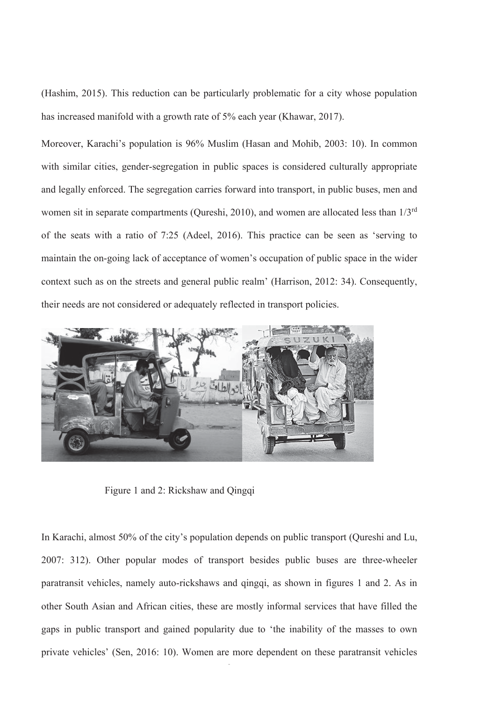(Hashim, 2015). This reduction can be particularly problematic for a city whose population has increased manifold with a growth rate of 5% each year (Khawar, 2017).

Moreover, Karachi's population is 96% Muslim (Hasan and Mohib, 2003: 10). In common with similar cities, gender-segregation in public spaces is considered culturally appropriate and legally enforced. The segregation carries forward into transport, in public buses, men and women sit in separate compartments (Qureshi, 2010), and women are allocated less than 1/3rd of the seats with a ratio of 7:25 (Adeel, 2016). This practice can be seen as 'serving to maintain the on-going lack of acceptance of women's occupation of public space in the wider context such as on the streets and general public realm' (Harrison, 2012: 34). Consequently, their needs are not considered or adequately reflected in transport policies.



Figure 1 and 2: Rickshaw and Qingqi

In Karachi, almost 50% of the city's population depends on public transport (Qureshi and Lu, 2007: 312). Other popular modes of transport besides public buses are three-wheeler paratransit vehicles, namely auto-rickshaws and qingqi, as shown in figures 1 and 2. As in other South Asian and African cities, these are mostly informal services that have filled the gaps in public transport and gained popularity due to 'the inability of the masses to own private vehicles' (Sen, 2016: 10). Women are more dependent on these paratransit vehicles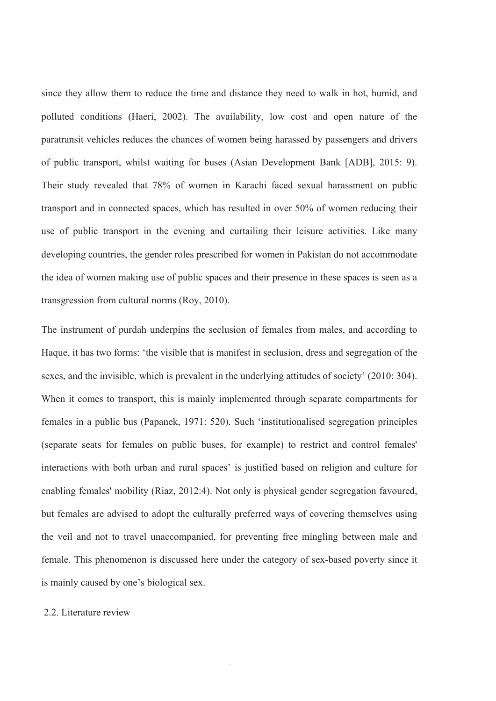since they allow them to reduce the time and distance they need to walk in hot, humid, and polluted conditions (Haeri, 2002). The availability, low cost and open nature of the paratransit vehicles reduces the chances of women being harassed by passengers and drivers of public transport, whilst waiting for buses (Asian Development Bank [ADB], 2015: 9). Their study revealed that 78% of women in Karachi faced sexual harassment on public transport and in connected spaces, which has resulted in over 50% of women reducing their use of public transport in the evening and curtailing their leisure activities. Like many developing countries, the gender roles prescribed for women in Pakistan do not accommodate the idea of women making use of public spaces and their presence in these spaces is seen as a transgression from cultural norms (Roy, 2010).

The instrument of purdah underpins the seclusion of females from males, and according to Haque, it has two forms: 'the visible that is manifest in seclusion, dress and segregation of the sexes, and the invisible, which is prevalent in the underlying attitudes of society' (2010: 304). When it comes to transport, this is mainly implemented through separate compartments for females in a public bus (Papanek, 1971: 520). Such 'institutionalised segregation principles (separate seats for females on public buses, for example) to restrict and control females' interactions with both urban and rural spaces' is justified based on religion and culture for enabling females' mobility (Riaz, 2012:4). Not only is physical gender segregation favoured, but females are advised to adopt the culturally preferred ways of covering themselves using the veil and not to travel unaccompanied, for preventing free mingling between male and female. This phenomenon is discussed here under the category of sex-based poverty since it is mainly caused by one's biological sex.

2.2. Literature review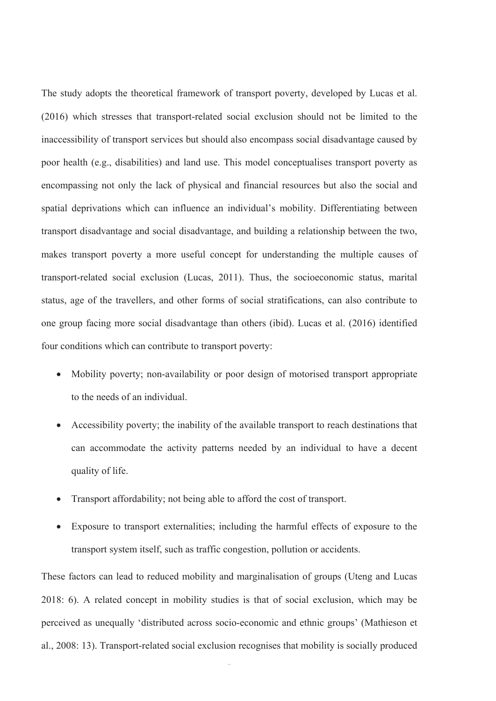The study adopts the theoretical framework of transport poverty, developed by Lucas et al. (2016) which stresses that transport-related social exclusion should not be limited to the inaccessibility of transport services but should also encompass social disadvantage caused by poor health (e.g., disabilities) and land use. This model conceptualises transport poverty as encompassing not only the lack of physical and financial resources but also the social and spatial deprivations which can influence an individual's mobility. Differentiating between transport disadvantage and social disadvantage, and building a relationship between the two, makes transport poverty a more useful concept for understanding the multiple causes of transport-related social exclusion (Lucas, 2011). Thus, the socioeconomic status, marital status, age of the travellers, and other forms of social stratifications, can also contribute to one group facing more social disadvantage than others (ibid). Lucas et al. (2016) identified four conditions which can contribute to transport poverty:

- Mobility poverty; non-availability or poor design of motorised transport appropriate to the needs of an individual.
- Accessibility poverty; the inability of the available transport to reach destinations that can accommodate the activity patterns needed by an individual to have a decent quality of life.
- Transport affordability; not being able to afford the cost of transport.
- Exposure to transport externalities; including the harmful effects of exposure to the transport system itself, such as traffic congestion, pollution or accidents.

These factors can lead to reduced mobility and marginalisation of groups (Uteng and Lucas 2018: 6). A related concept in mobility studies is that of social exclusion, which may be perceived as unequally 'distributed across socio-economic and ethnic groups' (Mathieson et al., 2008: 13). Transport-related social exclusion recognises that mobility is socially produced

 $\overline{a}$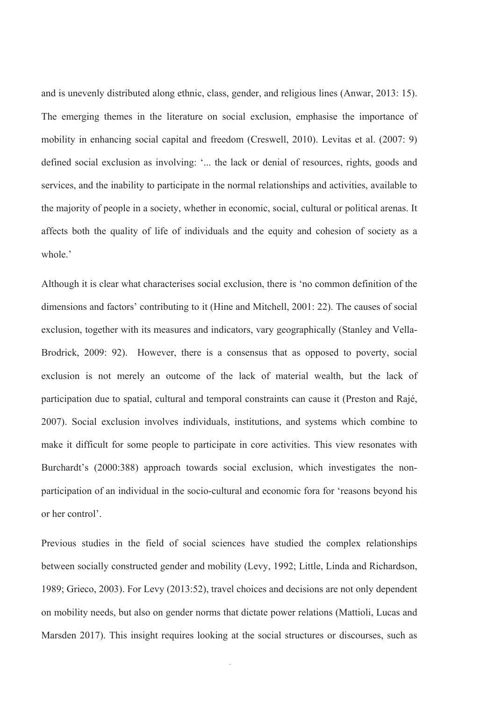and is unevenly distributed along ethnic, class, gender, and religious lines (Anwar, 2013: 15). The emerging themes in the literature on social exclusion, emphasise the importance of mobility in enhancing social capital and freedom (Creswell, 2010). Levitas et al. (2007: 9) defined social exclusion as involving: '... the lack or denial of resources, rights, goods and services, and the inability to participate in the normal relationships and activities, available to the majority of people in a society, whether in economic, social, cultural or political arenas. It affects both the quality of life of individuals and the equity and cohesion of society as a whole.'

Although it is clear what characterises social exclusion, there is 'no common definition of the dimensions and factors' contributing to it (Hine and Mitchell, 2001: 22). The causes of social exclusion, together with its measures and indicators, vary geographically (Stanley and Vella-Brodrick, 2009: 92). However, there is a consensus that as opposed to poverty, social exclusion is not merely an outcome of the lack of material wealth, but the lack of participation due to spatial, cultural and temporal constraints can cause it (Preston and Rajé, 2007). Social exclusion involves individuals, institutions, and systems which combine to make it difficult for some people to participate in core activities. This view resonates with Burchardt's (2000:388) approach towards social exclusion, which investigates the nonparticipation of an individual in the socio-cultural and economic fora for 'reasons beyond his or her control'.

Previous studies in the field of social sciences have studied the complex relationships between socially constructed gender and mobility (Levy, 1992; Little, Linda and Richardson, 1989; Grieco, 2003). For Levy (2013:52), travel choices and decisions are not only dependent on mobility needs, but also on gender norms that dictate power relations (Mattioli, Lucas and Marsden 2017). This insight requires looking at the social structures or discourses, such as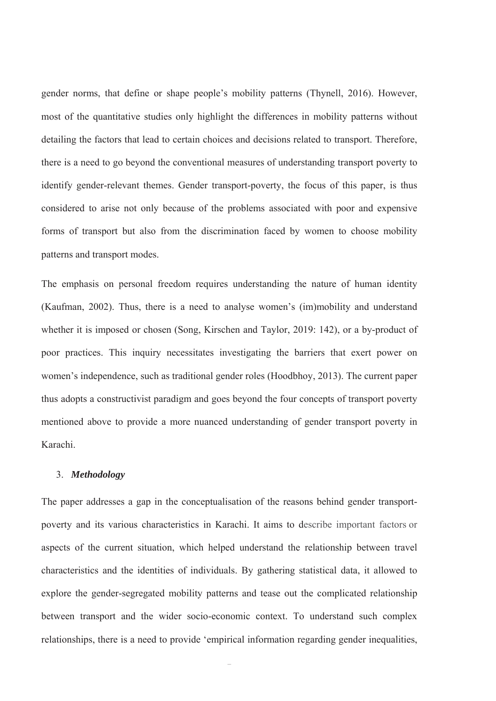gender norms, that define or shape people's mobility patterns (Thynell, 2016). However, most of the quantitative studies only highlight the differences in mobility patterns without detailing the factors that lead to certain choices and decisions related to transport. Therefore, there is a need to go beyond the conventional measures of understanding transport poverty to identify gender-relevant themes. Gender transport-poverty, the focus of this paper, is thus considered to arise not only because of the problems associated with poor and expensive forms of transport but also from the discrimination faced by women to choose mobility patterns and transport modes.

The emphasis on personal freedom requires understanding the nature of human identity (Kaufman, 2002). Thus, there is a need to analyse women's (im)mobility and understand whether it is imposed or chosen (Song, Kirschen and Taylor, 2019: 142), or a by-product of poor practices. This inquiry necessitates investigating the barriers that exert power on women's independence, such as traditional gender roles (Hoodbhoy, 2013). The current paper thus adopts a constructivist paradigm and goes beyond the four concepts of transport poverty mentioned above to provide a more nuanced understanding of gender transport poverty in Karachi.

#### 3. *Methodology*

The paper addresses a gap in the conceptualisation of the reasons behind gender transportpoverty and its various characteristics in Karachi. It aims to describe important factors or aspects of the current situation, which helped understand the relationship between travel characteristics and the identities of individuals. By gathering statistical data, it allowed to explore the gender-segregated mobility patterns and tease out the complicated relationship between transport and the wider socio-economic context. To understand such complex relationships, there is a need to provide 'empirical information regarding gender inequalities,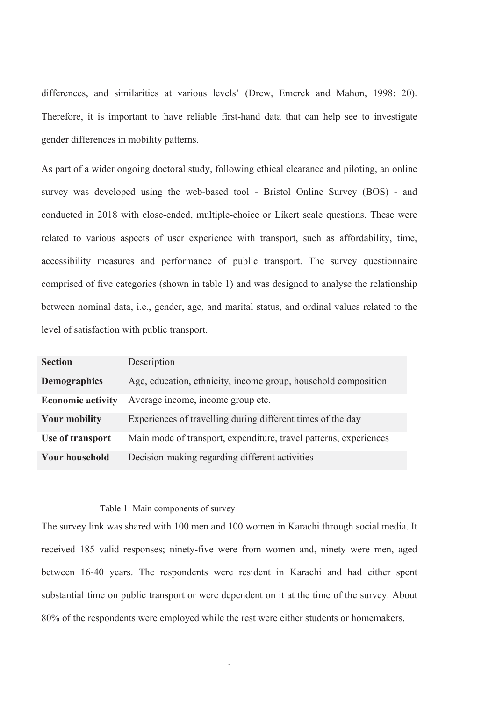differences, and similarities at various levels' (Drew, Emerek and Mahon, 1998: 20). Therefore, it is important to have reliable first-hand data that can help see to investigate gender differences in mobility patterns.

As part of a wider ongoing doctoral study, following ethical clearance and piloting, an online survey was developed using the web-based tool - Bristol Online Survey (BOS) - and conducted in 2018 with close-ended, multiple-choice or Likert scale questions. These were related to various aspects of user experience with transport, such as affordability, time, accessibility measures and performance of public transport. The survey questionnaire comprised of five categories (shown in table 1) and was designed to analyse the relationship between nominal data, i.e., gender, age, and marital status, and ordinal values related to the level of satisfaction with public transport.

| <b>Section</b>           | Description                                                       |
|--------------------------|-------------------------------------------------------------------|
| <b>Demographics</b>      | Age, education, ethnicity, income group, household composition    |
| <b>Economic activity</b> | Average income, income group etc.                                 |
| <b>Your mobility</b>     | Experiences of travelling during different times of the day       |
| Use of transport         | Main mode of transport, expenditure, travel patterns, experiences |
| <b>Your household</b>    | Decision-making regarding different activities                    |

## Table 1: Main components of survey

The survey link was shared with 100 men and 100 women in Karachi through social media. It received 185 valid responses; ninety-five were from women and, ninety were men, aged between 16-40 years. The respondents were resident in Karachi and had either spent substantial time on public transport or were dependent on it at the time of the survey. About 80% of the respondents were employed while the rest were either students or homemakers.

<sup>-</sup>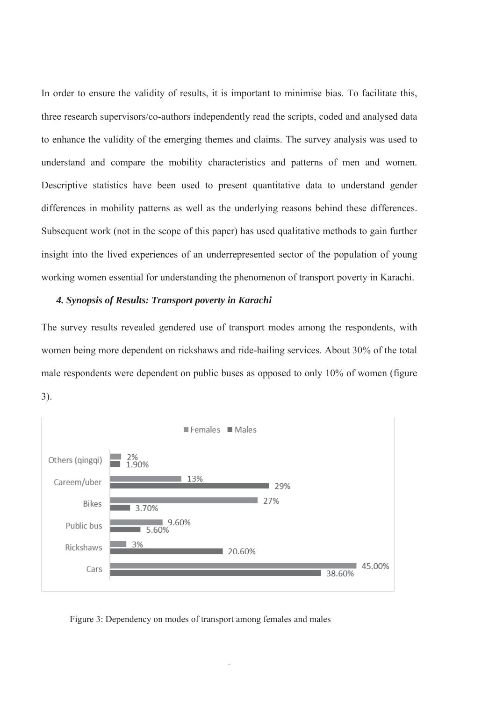In order to ensure the validity of results, it is important to minimise bias. To facilitate this, three research supervisors/co-authors independently read the scripts, coded and analysed data to enhance the validity of the emerging themes and claims. The survey analysis was used to understand and compare the mobility characteristics and patterns of men and women. Descriptive statistics have been used to present quantitative data to understand gender differences in mobility patterns as well as the underlying reasons behind these differences. Subsequent work (not in the scope of this paper) has used qualitative methods to gain further insight into the lived experiences of an underrepresented sector of the population of young working women essential for understanding the phenomenon of transport poverty in Karachi.

#### *4. Synopsis of Results: Transport poverty in Karachi*

The survey results revealed gendered use of transport modes among the respondents, with women being more dependent on rickshaws and ride-hailing services. About 30% of the total male respondents were dependent on public buses as opposed to only 10% of women (figure 3).



Figure 3: Dependency on modes of transport among females and males

**-**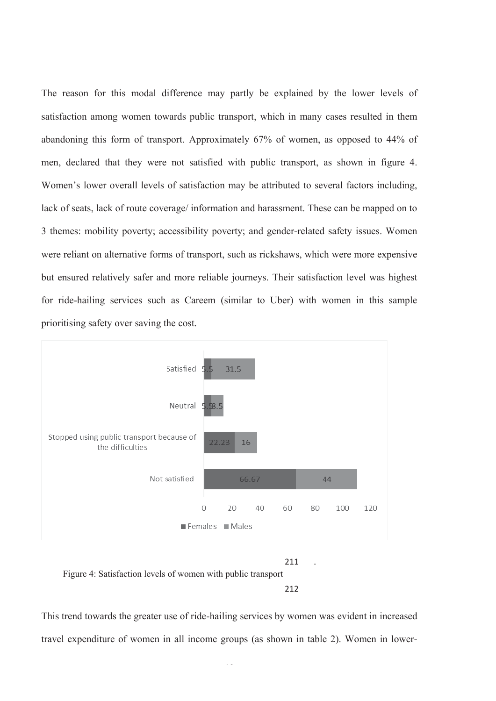The reason for this modal difference may partly be explained by the lower levels of satisfaction among women towards public transport, which in many cases resulted in them abandoning this form of transport. Approximately 67% of women, as opposed to 44% of men, declared that they were not satisfied with public transport, as shown in figure 4. Women's lower overall levels of satisfaction may be attributed to several factors including, lack of seats, lack of route coverage/ information and harassment. These can be mapped on to 3 themes: mobility poverty; accessibility poverty; and gender-related safety issues. Women were reliant on alternative forms of transport, such as rickshaws, which were more expensive but ensured relatively safer and more reliable journeys. Their satisfaction level was highest for ride-hailing services such as Careem (similar to Uber) with women in this sample prioritising safety over saving the cost.



211 Figure 4: Satisfaction levels of women with public transport

212

This trend towards the greater use of ride-hailing services by women was evident in increased travel expenditure of women in all income groups (as shown in table 2). Women in lower-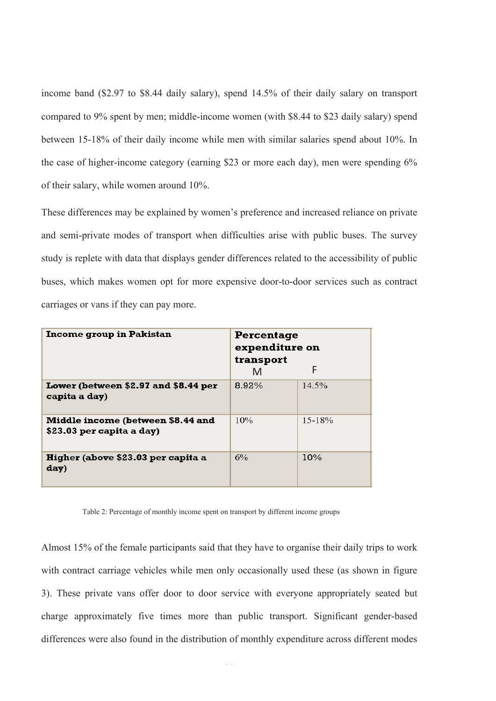income band (\$2.97 to \$8.44 daily salary), spend 14.5% of their daily salary on transport compared to 9% spent by men; middle-income women (with \$8.44 to \$23 daily salary) spend between 15-18% of their daily income while men with similar salaries spend about 10%. In the case of higher-income category (earning \$23 or more each day), men were spending 6% of their salary, while women around 10%.

These differences may be explained by women's preference and increased reliance on private and semi-private modes of transport when difficulties arise with public buses. The survey study is replete with data that displays gender differences related to the accessibility of public buses, which makes women opt for more expensive door-to-door services such as contract carriages or vans if they can pay more.

| Income group in Pakistan                                       | Percentage<br>expenditure on<br>transport<br>M | F           |
|----------------------------------------------------------------|------------------------------------------------|-------------|
| Lower (between \$2.97 and \$8.44 per<br>capita a day)          | $8.92\%$                                       | 14.5%       |
| Middle income (between \$8.44 and<br>\$23.03 per capita a day) | 10%                                            | $15 - 18\%$ |
| Higher (above \$23.03 per capita a<br>day)                     | 6%                                             | 10%         |

Table 2: Percentage of monthly income spent on transport by different income groups

Almost 15% of the female participants said that they have to organise their daily trips to work with contract carriage vehicles while men only occasionally used these (as shown in figure 3). These private vans offer door to door service with everyone appropriately seated but charge approximately five times more than public transport. Significant gender-based differences were also found in the distribution of monthly expenditure across different modes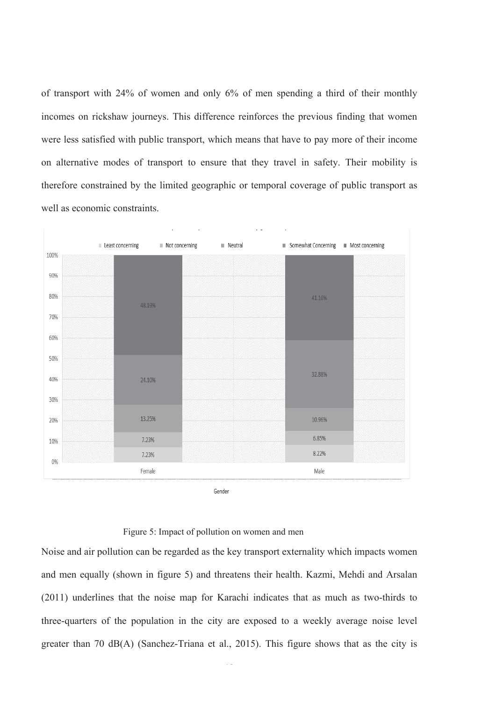of transport with 24% of women and only 6% of men spending a third of their monthly incomes on rickshaw journeys. This difference reinforces the previous finding that women were less satisfied with public transport, which means that have to pay more of their income on alternative modes of transport to ensure that they travel in safety. Their mobility is therefore constrained by the limited geographic or temporal coverage of public transport as well as economic constraints.



Figure 5: Impact of pollution on women and men

Noise and air pollution can be regarded as the key transport externality which impacts women and men equally (shown in figure 5) and threatens their health. Kazmi, Mehdi and Arsalan (2011) underlines that the noise map for Karachi indicates that as much as two-thirds to three-quarters of the population in the city are exposed to a weekly average noise level greater than 70 dB(A) (Sanchez-Triana et al., 2015). This figure shows that as the city is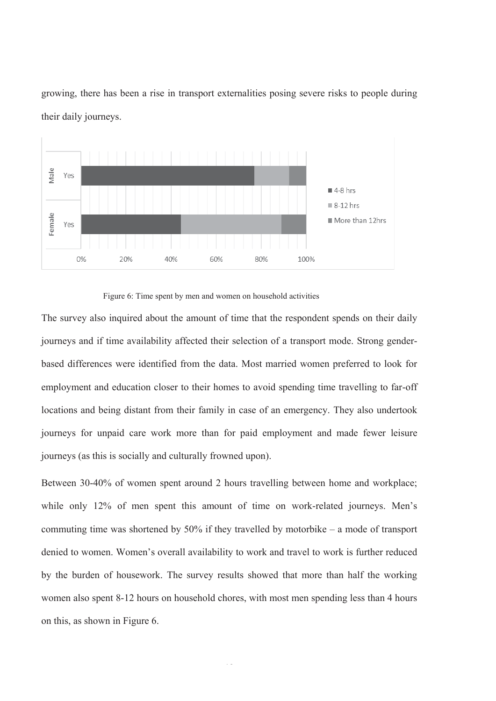



#### Figure 6: Time spent by men and women on household activities

The survey also inquired about the amount of time that the respondent spends on their daily journeys and if time availability affected their selection of a transport mode. Strong genderbased differences were identified from the data. Most married women preferred to look for employment and education closer to their homes to avoid spending time travelling to far-off locations and being distant from their family in case of an emergency. They also undertook journeys for unpaid care work more than for paid employment and made fewer leisure journeys (as this is socially and culturally frowned upon).

Between 30-40% of women spent around 2 hours travelling between home and workplace; while only 12% of men spent this amount of time on work-related journeys. Men's commuting time was shortened by 50% if they travelled by motorbike – a mode of transport denied to women. Women's overall availability to work and travel to work is further reduced by the burden of housework. The survey results showed that more than half the working women also spent 8-12 hours on household chores, with most men spending less than 4 hours on this, as shown in Figure 6.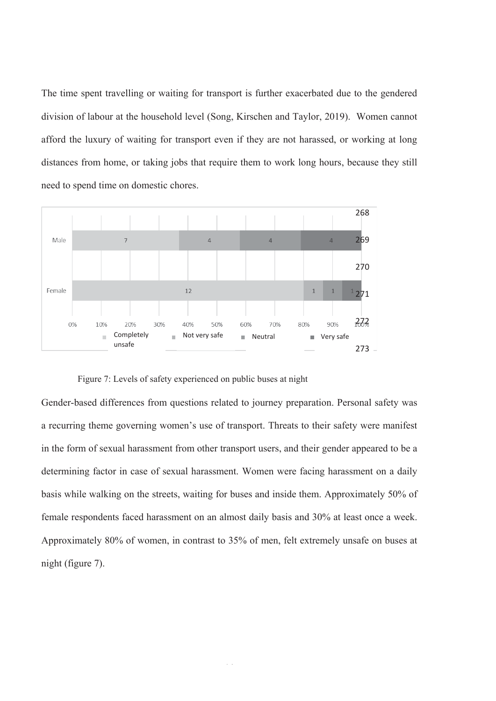The time spent travelling or waiting for transport is further exacerbated due to the gendered division of labour at the household level (Song, Kirschen and Taylor, 2019). Women cannot afford the luxury of waiting for transport even if they are not harassed, or working at long distances from home, or taking jobs that require them to work long hours, because they still need to spend time on domestic chores.



Figure 7: Levels of safety experienced on public buses at night

Gender-based differences from questions related to journey preparation. Personal safety was a recurring theme governing women's use of transport. Threats to their safety were manifest in the form of sexual harassment from other transport users, and their gender appeared to be a determining factor in case of sexual harassment. Women were facing harassment on a daily basis while walking on the streets, waiting for buses and inside them. Approximately 50% of female respondents faced harassment on an almost daily basis and 30% at least once a week. Approximately 80% of women, in contrast to 35% of men, felt extremely unsafe on buses at night (figure 7).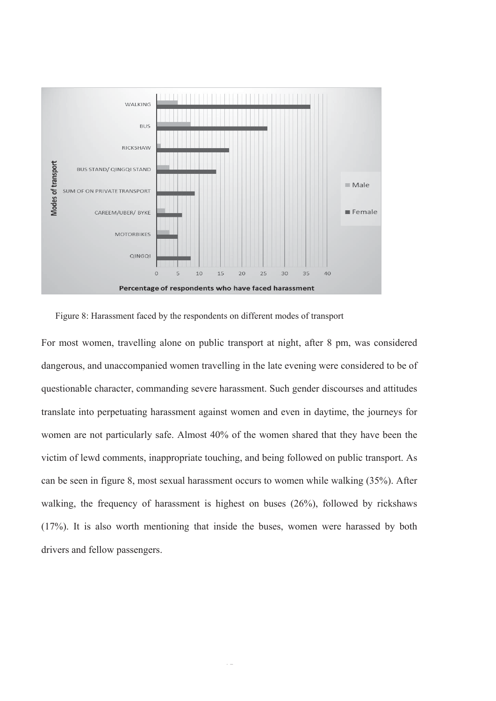

Figure 8: Harassment faced by the respondents on different modes of transport

For most women, travelling alone on public transport at night, after 8 pm, was considered dangerous, and unaccompanied women travelling in the late evening were considered to be of questionable character, commanding severe harassment. Such gender discourses and attitudes translate into perpetuating harassment against women and even in daytime, the journeys for women are not particularly safe. Almost 40% of the women shared that they have been the victim of lewd comments, inappropriate touching, and being followed on public transport. As can be seen in figure 8, most sexual harassment occurs to women while walking (35%). After walking, the frequency of harassment is highest on buses (26%), followed by rickshaws (17%). It is also worth mentioning that inside the buses, women were harassed by both drivers and fellow passengers.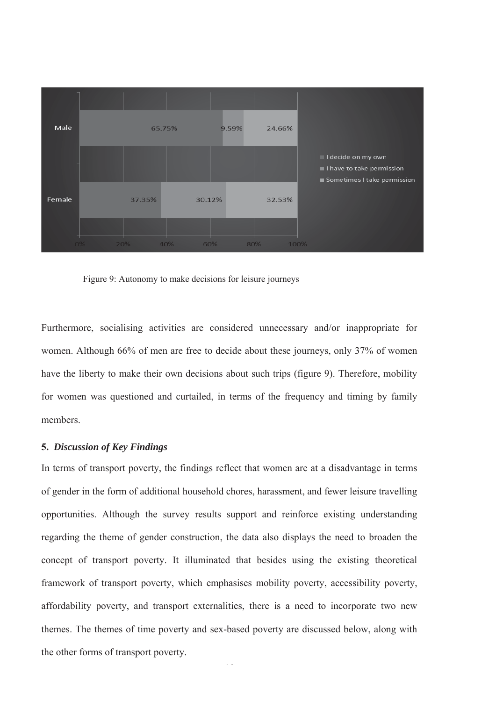

Figure 9: Autonomy to make decisions for leisure journeys

Furthermore, socialising activities are considered unnecessary and/or inappropriate for women. Although 66% of men are free to decide about these journeys, only 37% of women have the liberty to make their own decisions about such trips (figure 9). Therefore, mobility for women was questioned and curtailed, in terms of the frequency and timing by family members.

# **5.** *Discussion of Key Findings*

In terms of transport poverty, the findings reflect that women are at a disadvantage in terms of gender in the form of additional household chores, harassment, and fewer leisure travelling opportunities. Although the survey results support and reinforce existing understanding regarding the theme of gender construction, the data also displays the need to broaden the concept of transport poverty. It illuminated that besides using the existing theoretical framework of transport poverty, which emphasises mobility poverty, accessibility poverty, affordability poverty, and transport externalities, there is a need to incorporate two new themes. The themes of time poverty and sex-based poverty are discussed below, along with the other forms of transport poverty.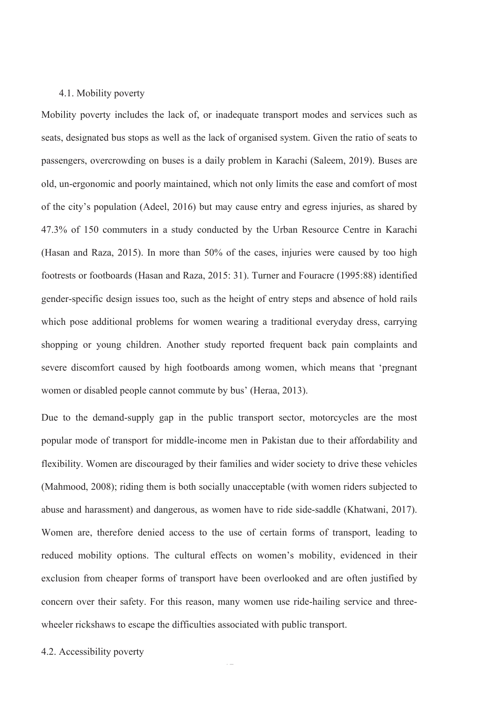# 4.1. Mobility poverty

Mobility poverty includes the lack of, or inadequate transport modes and services such as seats, designated bus stops as well as the lack of organised system. Given the ratio of seats to passengers, overcrowding on buses is a daily problem in Karachi (Saleem, 2019). Buses are old, un-ergonomic and poorly maintained, which not only limits the ease and comfort of most of the city's population (Adeel, 2016) but may cause entry and egress injuries, as shared by 47.3% of 150 commuters in a study conducted by the Urban Resource Centre in Karachi (Hasan and Raza, 2015). In more than 50% of the cases, injuries were caused by too high footrests or footboards (Hasan and Raza, 2015: 31). Turner and Fouracre (1995:88) identified gender-specific design issues too, such as the height of entry steps and absence of hold rails which pose additional problems for women wearing a traditional everyday dress, carrying shopping or young children. Another study reported frequent back pain complaints and severe discomfort caused by high footboards among women, which means that 'pregnant women or disabled people cannot commute by bus' (Heraa, 2013).

Due to the demand-supply gap in the public transport sector, motorcycles are the most popular mode of transport for middle-income men in Pakistan due to their affordability and flexibility. Women are discouraged by their families and wider society to drive these vehicles (Mahmood, 2008); riding them is both socially unacceptable (with women riders subjected to abuse and harassment) and dangerous, as women have to ride side-saddle (Khatwani, 2017). Women are, therefore denied access to the use of certain forms of transport, leading to reduced mobility options. The cultural effects on women's mobility, evidenced in their exclusion from cheaper forms of transport have been overlooked and are often justified by concern over their safety. For this reason, many women use ride-hailing service and threewheeler rickshaws to escape the difficulties associated with public transport.

4.2. Accessibility poverty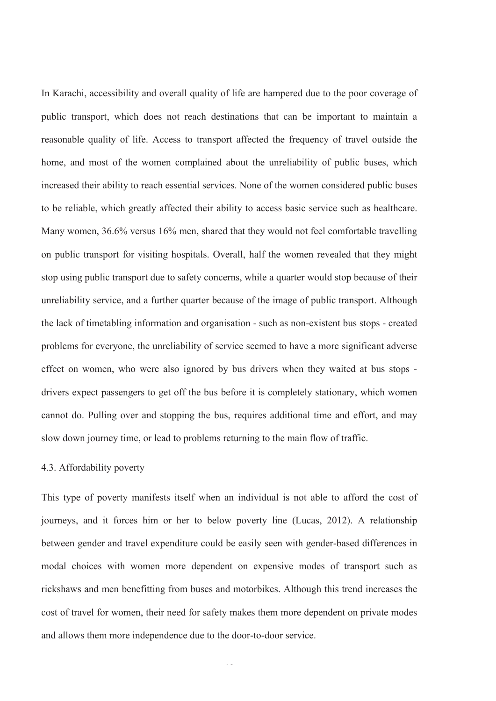In Karachi, accessibility and overall quality of life are hampered due to the poor coverage of public transport, which does not reach destinations that can be important to maintain a reasonable quality of life. Access to transport affected the frequency of travel outside the home, and most of the women complained about the unreliability of public buses, which increased their ability to reach essential services. None of the women considered public buses to be reliable, which greatly affected their ability to access basic service such as healthcare. Many women, 36.6% versus 16% men, shared that they would not feel comfortable travelling on public transport for visiting hospitals. Overall, half the women revealed that they might stop using public transport due to safety concerns, while a quarter would stop because of their unreliability service, and a further quarter because of the image of public transport. Although the lack of timetabling information and organisation - such as non-existent bus stops - created problems for everyone, the unreliability of service seemed to have a more significant adverse effect on women, who were also ignored by bus drivers when they waited at bus stops drivers expect passengers to get off the bus before it is completely stationary, which women cannot do. Pulling over and stopping the bus, requires additional time and effort, and may slow down journey time, or lead to problems returning to the main flow of traffic.

# 4.3. Affordability poverty

This type of poverty manifests itself when an individual is not able to afford the cost of journeys, and it forces him or her to below poverty line (Lucas, 2012). A relationship between gender and travel expenditure could be easily seen with gender-based differences in modal choices with women more dependent on expensive modes of transport such as rickshaws and men benefitting from buses and motorbikes. Although this trend increases the cost of travel for women, their need for safety makes them more dependent on private modes and allows them more independence due to the door-to-door service.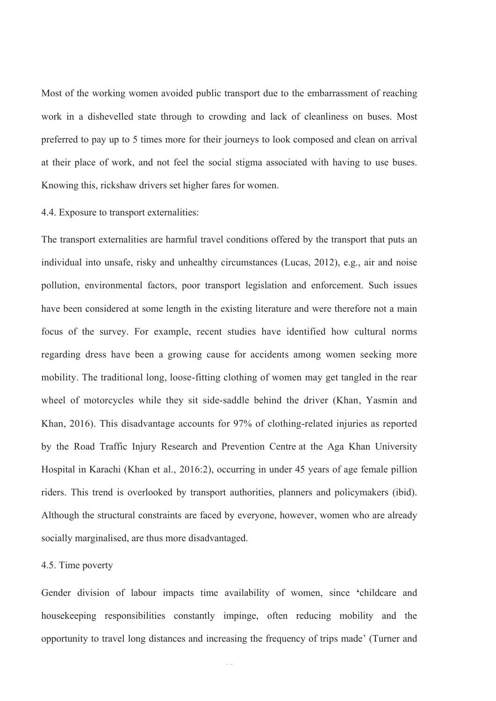Most of the working women avoided public transport due to the embarrassment of reaching work in a dishevelled state through to crowding and lack of cleanliness on buses. Most preferred to pay up to 5 times more for their journeys to look composed and clean on arrival at their place of work, and not feel the social stigma associated with having to use buses. Knowing this, rickshaw drivers set higher fares for women.

#### 4.4. Exposure to transport externalities:

The transport externalities are harmful travel conditions offered by the transport that puts an individual into unsafe, risky and unhealthy circumstances (Lucas, 2012), e.g., air and noise pollution, environmental factors, poor transport legislation and enforcement. Such issues have been considered at some length in the existing literature and were therefore not a main focus of the survey. For example, recent studies have identified how cultural norms regarding dress have been a growing cause for accidents among women seeking more mobility. The traditional long, loose-fitting clothing of women may get tangled in the rear wheel of motorcycles while they sit side-saddle behind the driver (Khan, Yasmin and Khan, 2016). This disadvantage accounts for 97% of clothing-related injuries as reported by the Road Traffic Injury Research and Prevention Centre at the Aga Khan University Hospital in Karachi (Khan et al., 2016:2), occurring in under 45 years of age female pillion riders. This trend is overlooked by transport authorities, planners and policymakers (ibid). Although the structural constraints are faced by everyone, however, women who are already socially marginalised, are thus more disadvantaged.

## 4.5. Time poverty

Gender division of labour impacts time availability of women, since **'**childcare and housekeeping responsibilities constantly impinge, often reducing mobility and the opportunity to travel long distances and increasing the frequency of trips made' (Turner and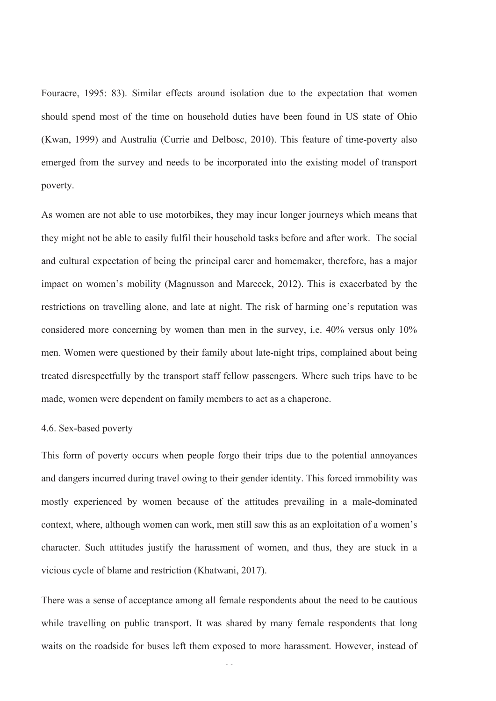Fouracre, 1995: 83). Similar effects around isolation due to the expectation that women should spend most of the time on household duties have been found in US state of Ohio (Kwan, 1999) and Australia (Currie and Delbosc, 2010). This feature of time-poverty also emerged from the survey and needs to be incorporated into the existing model of transport poverty.

As women are not able to use motorbikes, they may incur longer journeys which means that they might not be able to easily fulfil their household tasks before and after work. The social and cultural expectation of being the principal carer and homemaker, therefore, has a major impact on women's mobility (Magnusson and Marecek, 2012). This is exacerbated by the restrictions on travelling alone, and late at night. The risk of harming one's reputation was considered more concerning by women than men in the survey, i.e. 40% versus only 10% men. Women were questioned by their family about late-night trips, complained about being treated disrespectfully by the transport staff fellow passengers. Where such trips have to be made, women were dependent on family members to act as a chaperone.

#### 4.6. Sex-based poverty

This form of poverty occurs when people forgo their trips due to the potential annoyances and dangers incurred during travel owing to their gender identity. This forced immobility was mostly experienced by women because of the attitudes prevailing in a male-dominated context, where, although women can work, men still saw this as an exploitation of a women's character. Such attitudes justify the harassment of women, and thus, they are stuck in a vicious cycle of blame and restriction (Khatwani, 2017).

There was a sense of acceptance among all female respondents about the need to be cautious while travelling on public transport. It was shared by many female respondents that long waits on the roadside for buses left them exposed to more harassment. However, instead of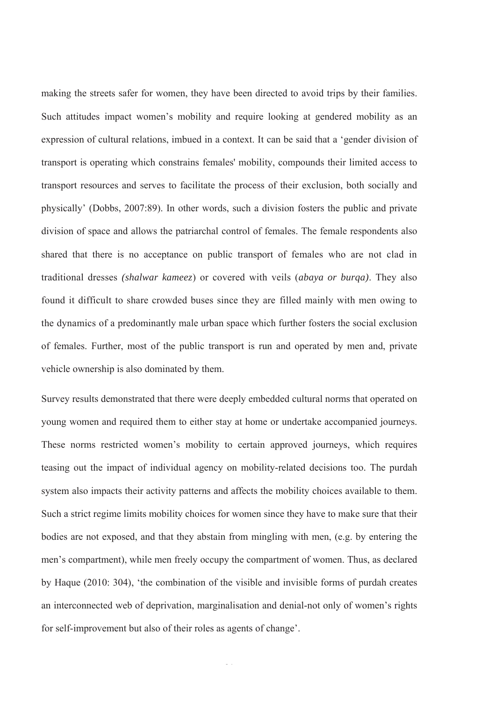making the streets safer for women, they have been directed to avoid trips by their families. Such attitudes impact women's mobility and require looking at gendered mobility as an expression of cultural relations, imbued in a context. It can be said that a 'gender division of transport is operating which constrains females' mobility, compounds their limited access to transport resources and serves to facilitate the process of their exclusion, both socially and physically' (Dobbs, 2007:89). In other words, such a division fosters the public and private division of space and allows the patriarchal control of females. The female respondents also shared that there is no acceptance on public transport of females who are not clad in traditional dresses *(shalwar kameez*) or covered with veils (*abaya or burqa)*. They also found it difficult to share crowded buses since they are filled mainly with men owing to the dynamics of a predominantly male urban space which further fosters the social exclusion of females. Further, most of the public transport is run and operated by men and, private vehicle ownership is also dominated by them.

Survey results demonstrated that there were deeply embedded cultural norms that operated on young women and required them to either stay at home or undertake accompanied journeys. These norms restricted women's mobility to certain approved journeys, which requires teasing out the impact of individual agency on mobility-related decisions too. The purdah system also impacts their activity patterns and affects the mobility choices available to them. Such a strict regime limits mobility choices for women since they have to make sure that their bodies are not exposed, and that they abstain from mingling with men, (e.g. by entering the men's compartment), while men freely occupy the compartment of women. Thus, as declared by Haque (2010: 304), 'the combination of the visible and invisible forms of purdah creates an interconnected web of deprivation, marginalisation and denial-not only of women's rights for self-improvement but also of their roles as agents of change'.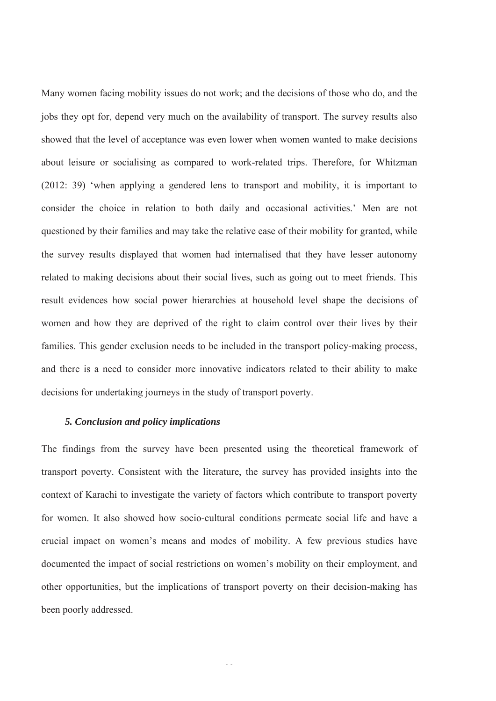Many women facing mobility issues do not work; and the decisions of those who do, and the jobs they opt for, depend very much on the availability of transport. The survey results also showed that the level of acceptance was even lower when women wanted to make decisions about leisure or socialising as compared to work-related trips. Therefore, for Whitzman (2012: 39) 'when applying a gendered lens to transport and mobility, it is important to consider the choice in relation to both daily and occasional activities.' Men are not questioned by their families and may take the relative ease of their mobility for granted, while the survey results displayed that women had internalised that they have lesser autonomy related to making decisions about their social lives, such as going out to meet friends. This result evidences how social power hierarchies at household level shape the decisions of women and how they are deprived of the right to claim control over their lives by their families. This gender exclusion needs to be included in the transport policy-making process, and there is a need to consider more innovative indicators related to their ability to make decisions for undertaking journeys in the study of transport poverty.

#### *5. Conclusion and policy implications*

The findings from the survey have been presented using the theoretical framework of transport poverty. Consistent with the literature, the survey has provided insights into the context of Karachi to investigate the variety of factors which contribute to transport poverty for women. It also showed how socio-cultural conditions permeate social life and have a crucial impact on women's means and modes of mobility. A few previous studies have documented the impact of social restrictions on women's mobility on their employment, and other opportunities, but the implications of transport poverty on their decision-making has been poorly addressed.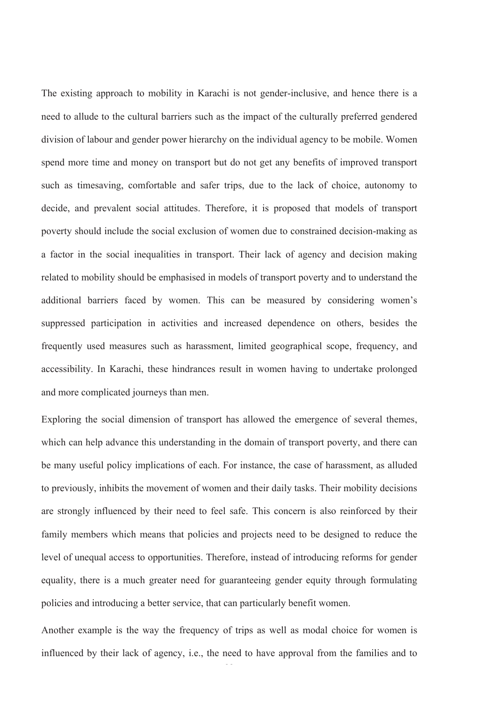The existing approach to mobility in Karachi is not gender-inclusive, and hence there is a need to allude to the cultural barriers such as the impact of the culturally preferred gendered division of labour and gender power hierarchy on the individual agency to be mobile. Women spend more time and money on transport but do not get any benefits of improved transport such as timesaving, comfortable and safer trips, due to the lack of choice, autonomy to decide, and prevalent social attitudes. Therefore, it is proposed that models of transport poverty should include the social exclusion of women due to constrained decision-making as a factor in the social inequalities in transport. Their lack of agency and decision making related to mobility should be emphasised in models of transport poverty and to understand the additional barriers faced by women. This can be measured by considering women's suppressed participation in activities and increased dependence on others, besides the frequently used measures such as harassment, limited geographical scope, frequency, and accessibility. In Karachi, these hindrances result in women having to undertake prolonged and more complicated journeys than men.

Exploring the social dimension of transport has allowed the emergence of several themes, which can help advance this understanding in the domain of transport poverty, and there can be many useful policy implications of each. For instance, the case of harassment, as alluded to previously, inhibits the movement of women and their daily tasks. Their mobility decisions are strongly influenced by their need to feel safe. This concern is also reinforced by their family members which means that policies and projects need to be designed to reduce the level of unequal access to opportunities. Therefore, instead of introducing reforms for gender equality, there is a much greater need for guaranteeing gender equity through formulating policies and introducing a better service, that can particularly benefit women.

Another example is the way the frequency of trips as well as modal choice for women is influenced by their lack of agency, i.e., the need to have approval from the families and to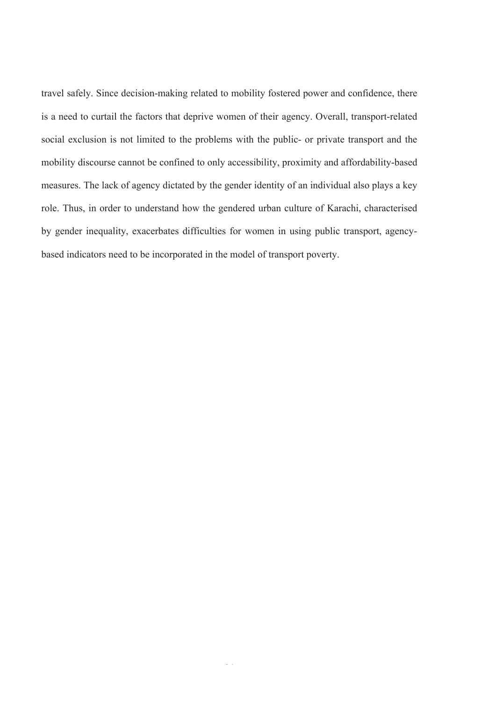travel safely. Since decision-making related to mobility fostered power and confidence, there is a need to curtail the factors that deprive women of their agency. Overall, transport-related social exclusion is not limited to the problems with the public- or private transport and the mobility discourse cannot be confined to only accessibility, proximity and affordability-based measures. The lack of agency dictated by the gender identity of an individual also plays a key role. Thus, in order to understand how the gendered urban culture of Karachi, characterised by gender inequality, exacerbates difficulties for women in using public transport, agencybased indicators need to be incorporated in the model of transport poverty.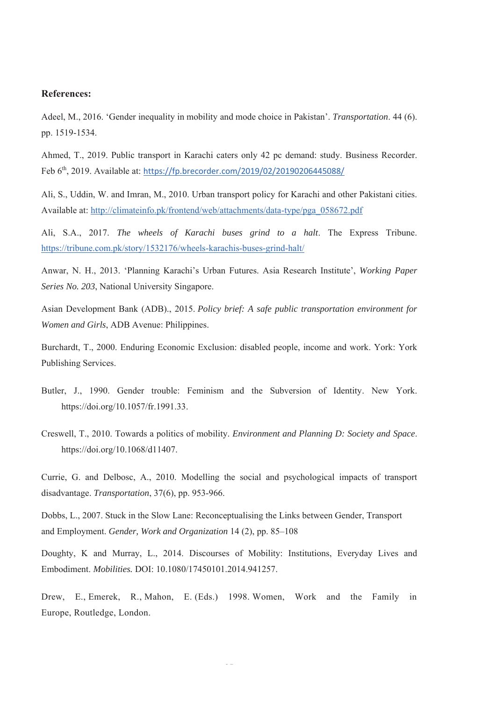#### **References:**

Adeel, M., 2016. 'Gender inequality in mobility and mode choice in Pakistan'. *Transportation*. 44 (6). pp. 1519-1534.

Ahmed, T., 2019. Public transport in Karachi caters only 42 pc demand: study. Business Recorder. Feb 6th, 2019. Available at: https://fp.brecorder.com/2019/02/20190206445088/

Ali, S., Uddin, W. and Imran, M., 2010. Urban transport policy for Karachi and other Pakistani cities. Available at: http://climateinfo.pk/frontend/web/attachments/data-type/pga\_058672.pdf

Ali, S.A., 2017. *The wheels of Karachi buses grind to a halt*. The Express Tribune. https://tribune.com.pk/story/1532176/wheels-karachis-buses-grind-halt/

Anwar, N. H., 2013. 'Planning Karachi's Urban Futures. Asia Research Institute', *Working Paper Series No. 203*, National University Singapore.

Asian Development Bank (ADB)., 2015. *Policy brief: A safe public transportation environment for Women and Girls*, ADB Avenue: Philippines.

Burchardt, T., 2000. Enduring Economic Exclusion: disabled people, income and work. York: York Publishing Services.

- Butler, J., 1990. Gender trouble: Feminism and the Subversion of Identity. New York. https://doi.org/10.1057/fr.1991.33.
- Creswell, T., 2010. Towards a politics of mobility. *Environment and Planning D: Society and Space*. https://doi.org/10.1068/d11407.

Currie, G. and Delbosc, A., 2010. Modelling the social and psychological impacts of transport disadvantage. *Transportation*, 37(6), pp. 953-966.

Dobbs, L., 2007. Stuck in the Slow Lane: Reconceptualising the Links between Gender, Transport and Employment. *Gender, Work and Organization* 14 (2), pp. 85–108

Doughty, K and Murray, L., 2014. Discourses of Mobility: Institutions, Everyday Lives and Embodiment. *Mobilities.* DOI: 10.1080/17450101.2014.941257.

Drew, E., Emerek, R., Mahon, E. (Eds.) 1998. Women, Work and the Family in Europe, Routledge, London.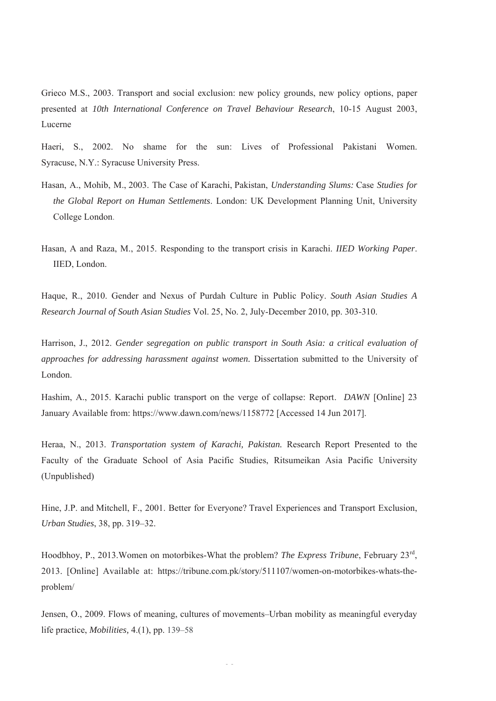Grieco M.S., 2003. Transport and social exclusion: new policy grounds, new policy options, paper presented at *10th International Conference on Travel Behaviour Research*, 10-15 August 2003, Lucerne

Haeri, S., 2002. No shame for the sun: Lives of Professional Pakistani Women. Syracuse, N.Y.: Syracuse University Press.

- Hasan, A., Mohib, M., 2003. The Case of Karachi, Pakistan, *Understanding Slums:* Case *Studies for the Global Report on Human Settlements*. London: UK Development Planning Unit, University College London.
- Hasan, A and Raza, M., 2015. Responding to the transport crisis in Karachi. *IIED Working Paper*. IIED, London.

Haque, R., 2010. Gender and Nexus of Purdah Culture in Public Policy. *South Asian Studies A Research Journal of South Asian Studies* Vol. 25, No. 2, July-December 2010, pp. 303-310.

Harrison, J., 2012. *Gender segregation on public transport in South Asia: a critical evaluation of approaches for addressing harassment against women.* Dissertation submitted to the University of London.

Hashim, A., 2015. Karachi public transport on the verge of collapse: Report. *DAWN* [Online] 23 January Available from: https://www.dawn.com/news/1158772 [Accessed 14 Jun 2017].

Heraa, N., 2013. *Transportation system of Karachi, Pakistan.* Research Report Presented to the Faculty of the Graduate School of Asia Pacific Studies, Ritsumeikan Asia Pacific University (Unpublished)

Hine, J.P. and Mitchell, F., 2001. Better for Everyone? Travel Experiences and Transport Exclusion, *Urban Studies*, 38, pp. 319–32.

Hoodbhoy, P., 2013.Women on motorbikes-What the problem? *The Express Tribune*, February 23rd, 2013. [Online] Available at: https://tribune.com.pk/story/511107/women-on-motorbikes-whats-theproblem/

Jensen, O., 2009. Flows of meaning, cultures of movements–Urban mobility as meaningful everyday life practice, *Mobilities,* 4.(1), pp. 139–58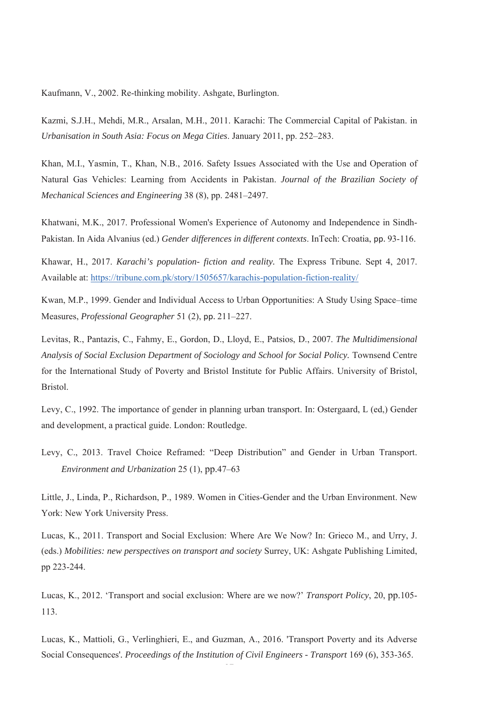Kaufmann, V., 2002. Re-thinking mobility. Ashgate, Burlington.

Kazmi, S.J.H., Mehdi, M.R., Arsalan, M.H., 2011. Karachi: The Commercial Capital of Pakistan. in *Urbanisation in South Asia: Focus on Mega Cities*. January 2011, pp. 252–283.

Khan, M.I., Yasmin, T., Khan, N.B., 2016. Safety Issues Associated with the Use and Operation of Natural Gas Vehicles: Learning from Accidents in Pakistan. *Journal of the Brazilian Society of Mechanical Sciences and Engineering* 38 (8), pp. 2481–2497.

Khatwani, M.K., 2017. Professional Women's Experience of Autonomy and Independence in Sindh-Pakistan. In Aida Alvanius (ed.) *Gender differences in different contexts*. InTech: Croatia, pp. 93-116.

Khawar, H., 2017. *Karachi's population- fiction and reality.* The Express Tribune. Sept 4, 2017. Available at: https://tribune.com.pk/story/1505657/karachis-population-fiction-reality/

Kwan, M.P., 1999. Gender and Individual Access to Urban Opportunities: A Study Using Space–time Measures, *Professional Geographer* 51 (2), pp. 211–227.

Levitas, R., Pantazis, C., Fahmy, E., Gordon, D., Lloyd, E., Patsios, D., 2007. *The Multidimensional Analysis of Social Exclusion Department of Sociology and School for Social Policy.* Townsend Centre for the International Study of Poverty and Bristol Institute for Public Affairs. University of Bristol, Bristol.

Levy, C., 1992. The importance of gender in planning urban transport. In: Ostergaard, L (ed,) Gender and development, a practical guide. London: Routledge.

Levy, C., 2013. Travel Choice Reframed: "Deep Distribution" and Gender in Urban Transport. *Environment and Urbanization* 25 (1), pp.47–63

Little, J., Linda, P., Richardson, P., 1989. Women in Cities-Gender and the Urban Environment. New York: New York University Press.

Lucas, K., 2011. Transport and Social Exclusion: Where Are We Now? In: Grieco M., and Urry, J. (eds.) *Mobilities: new perspectives on transport and society* Surrey, UK: Ashgate Publishing Limited, pp 223-244.

Lucas, K., 2012. 'Transport and social exclusion: Where are we now?' *Transport Policy*, 20, pp.105- 113.

Lucas, K., Mattioli, G., Verlinghieri, E., and Guzman, A., 2016. 'Transport Poverty and its Adverse Social Consequences'*. Proceedings of the Institution of Civil Engineers - Transport* 169 (6), 353-365.

 $\tilde{a}$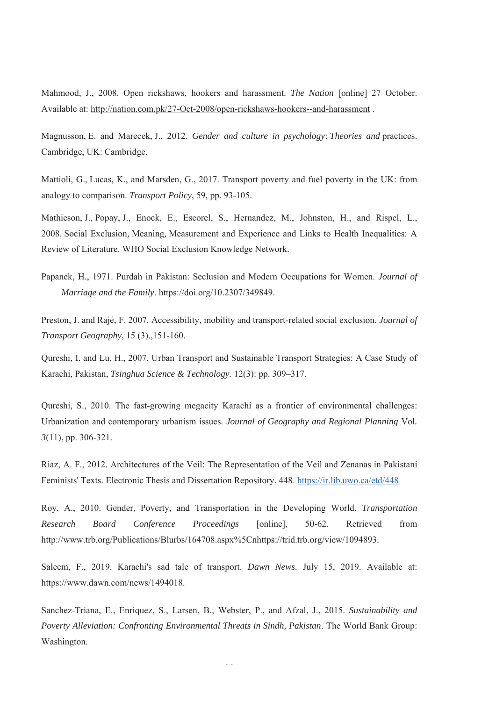Mahmood, J., 2008. Open rickshaws, hookers and harassment. *The Nation* [online] 27 October. Available at: http://nation.com.pk/27-Oct-2008/open-rickshaws-hookers--and-harassment .

Magnusson, E. and Marecek, J., 2012. *Gender and culture in psychology*: *Theories and* practices. Cambridge, UK: Cambridge.

Mattioli, G., Lucas, K., and Marsden, G., 2017. Transport poverty and fuel poverty in the UK: from analogy to comparison. *Transport Policy*, 59, pp. 93-105.

Mathieson, J., Popay, J., Enock, E., Escorel, S., Hernandez, M., Johnston, H., and Rispel, L., 2008. Social Exclusion*,* Meaning*,* Measurement and Experience and Links to Health Inequalities: A Review of Literature. WHO Social Exclusion Knowledge Network.

Papanek, H., 1971. Purdah in Pakistan: Seclusion and Modern Occupations for Women. *Journal of Marriage and the Family*. https://doi.org/10.2307/349849.

Preston, J. and Rajé, F. 2007. Accessibility, mobility and transport-related social exclusion. *Journal of Transport Geography*, 15 (3).,151-160.

Qureshi, I. and Lu, H., 2007. Urban Transport and Sustainable Transport Strategies: A Case Study of Karachi, Pakistan, *Tsinghua Science & Technology.* 12(3): pp. 309–317.

Qureshi, S., 2010. The fast-growing megacity Karachi as a frontier of environmental challenges: Urbanization and contemporary urbanism issues. *Journal of Geography and Regional Planning* Vol*. 3*(11), pp. 306-321.

Riaz, A. F., 2012. Architectures of the Veil: The Representation of the Veil and Zenanas in Pakistani Feminists' Texts. Electronic Thesis and Dissertation Repository. 448. https://ir.lib.uwo.ca/etd/448

Roy, A., 2010. Gender, Poverty, and Transportation in the Developing World. *Transportation Research Board Conference Proceedings* [online], 50-62. Retrieved from http://www.trb.org/Publications/Blurbs/164708.aspx%5Cnhttps://trid.trb.org/view/1094893.

Saleem, F., 2019. Karachi's sad tale of transport. *Dawn News*. July 15, 2019. Available at: https://www.dawn.com/news/1494018.

Sanchez-Triana, E., Enriquez, S., Larsen, B., Webster, P., and Afzal, J., 2015. *Sustainability and Poverty Alleviation: Confronting Environmental Threats in Sindh, Pakistan.* The World Bank Group: Washington.